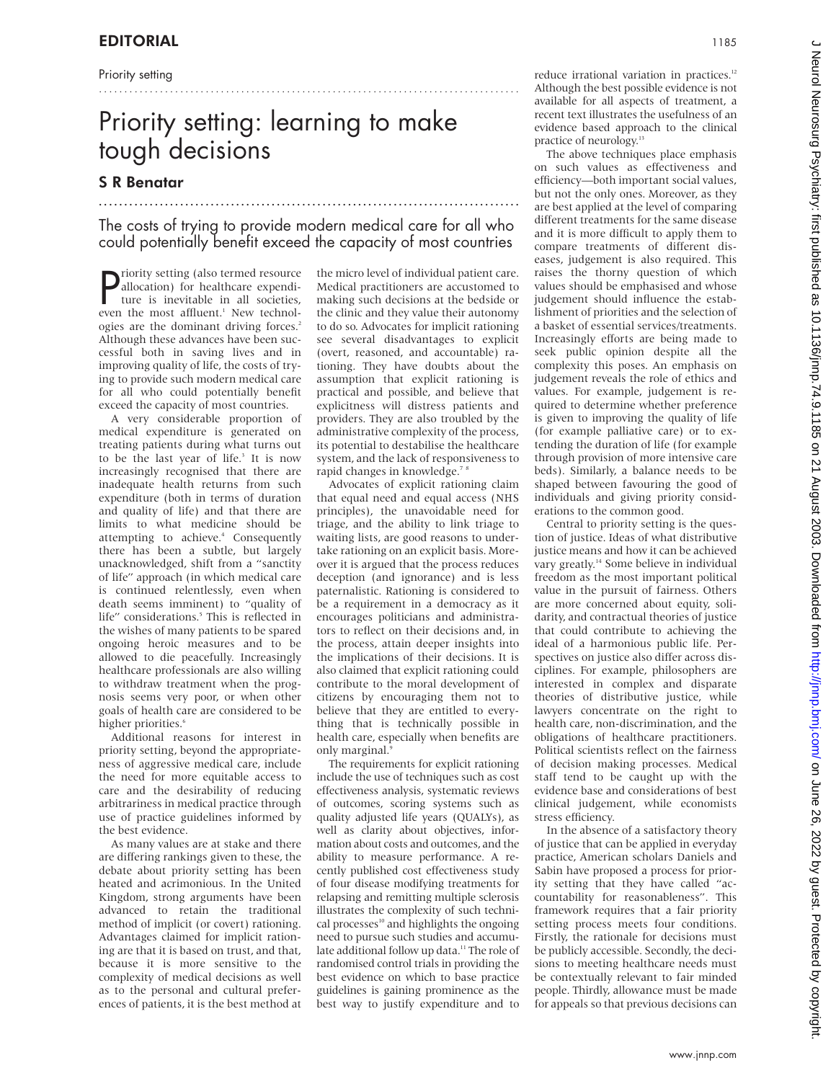Priority setting

# Priority setting: learning to make tough decisions

...................................................................................

## S R Benatar

The costs of trying to provide modern medical care for all who could potentially benefit exceed the capacity of most countries

...................................................................................

**P** riority setting (also termed resource<br>
allocation) for healthcare expendi-<br>
ture is inevitable in all societies,<br>
even the most affluent<sup>1</sup> New technolallocation) for healthcare expenditure is inevitable in all societies, even the most affluent.<sup>1</sup> New technologies are the dominant driving forces.<sup>2</sup> Although these advances have been successful both in saving lives and in improving quality of life, the costs of trying to provide such modern medical care for all who could potentially benefit exceed the capacity of most countries.

A very considerable proportion of medical expenditure is generated on treating patients during what turns out to be the last year of life.<sup>3</sup> It is now increasingly recognised that there are inadequate health returns from such expenditure (both in terms of duration and quality of life) and that there are limits to what medicine should be attempting to achieve.<sup>4</sup> Consequently there has been a subtle, but largely unacknowledged, shift from a "sanctity of life" approach (in which medical care is continued relentlessly, even when death seems imminent) to "quality of life" considerations.<sup>5</sup> This is reflected in the wishes of many patients to be spared ongoing heroic measures and to be allowed to die peacefully. Increasingly healthcare professionals are also willing to withdraw treatment when the prognosis seems very poor, or when other goals of health care are considered to be higher priorities.<sup>6</sup>

Additional reasons for interest in priority setting, beyond the appropriateness of aggressive medical care, include the need for more equitable access to care and the desirability of reducing arbitrariness in medical practice through use of practice guidelines informed by the best evidence.

As many values are at stake and there are differing rankings given to these, the debate about priority setting has been heated and acrimonious. In the United Kingdom, strong arguments have been advanced to retain the traditional method of implicit (or covert) rationing. Advantages claimed for implicit rationing are that it is based on trust, and that, because it is more sensitive to the complexity of medical decisions as well as to the personal and cultural preferences of patients, it is the best method at

the micro level of individual patient care. Medical practitioners are accustomed to making such decisions at the bedside or the clinic and they value their autonomy to do so. Advocates for implicit rationing see several disadvantages to explicit (overt, reasoned, and accountable) rationing. They have doubts about the assumption that explicit rationing is practical and possible, and believe that explicitness will distress patients and providers. They are also troubled by the administrative complexity of the process, its potential to destabilise the healthcare system, and the lack of responsiveness to rapid changes in knowledge.<sup>7</sup>

Advocates of explicit rationing claim that equal need and equal access (NHS principles), the unavoidable need for triage, and the ability to link triage to waiting lists, are good reasons to undertake rationing on an explicit basis. Moreover it is argued that the process reduces deception (and ignorance) and is less paternalistic. Rationing is considered to be a requirement in a democracy as it encourages politicians and administrators to reflect on their decisions and, in the process, attain deeper insights into the implications of their decisions. It is also claimed that explicit rationing could contribute to the moral development of citizens by encouraging them not to believe that they are entitled to everything that is technically possible in health care, especially when benefits are only marginal.<sup>9</sup>

The requirements for explicit rationing include the use of techniques such as cost effectiveness analysis, systematic reviews of outcomes, scoring systems such as quality adjusted life years (QUALYs), as well as clarity about objectives, information about costs and outcomes, and the ability to measure performance. A recently published cost effectiveness study of four disease modifying treatments for relapsing and remitting multiple sclerosis illustrates the complexity of such technical processes<sup>10</sup> and highlights the ongoing need to pursue such studies and accumulate additional follow up data.<sup>11</sup> The role of randomised control trials in providing the best evidence on which to base practice guidelines is gaining prominence as the best way to justify expenditure and to reduce irrational variation in practices.<sup>12</sup> Although the best possible evidence is not available for all aspects of treatment, a recent text illustrates the usefulness of an evidence based approach to the clinical practice of neurology.<sup>13</sup>

The above techniques place emphasis on such values as effectiveness and efficiency—both important social values, but not the only ones. Moreover, as they are best applied at the level of comparing different treatments for the same disease and it is more difficult to apply them to compare treatments of different diseases, judgement is also required. This raises the thorny question of which values should be emphasised and whose judgement should influence the establishment of priorities and the selection of a basket of essential services/treatments. Increasingly efforts are being made to seek public opinion despite all the complexity this poses. An emphasis on judgement reveals the role of ethics and values. For example, judgement is required to determine whether preference is given to improving the quality of life (for example palliative care) or to extending the duration of life (for example through provision of more intensive care beds). Similarly, a balance needs to be shaped between favouring the good of individuals and giving priority considerations to the common good.

Central to priority setting is the question of justice. Ideas of what distributive justice means and how it can be achieved vary greatly.<sup>14</sup> Some believe in individual freedom as the most important political value in the pursuit of fairness. Others are more concerned about equity, solidarity, and contractual theories of justice that could contribute to achieving the ideal of a harmonious public life. Perspectives on justice also differ across disciplines. For example, philosophers are interested in complex and disparate theories of distributive justice, while lawyers concentrate on the right to health care, non-discrimination, and the obligations of healthcare practitioners. Political scientists reflect on the fairness of decision making processes. Medical staff tend to be caught up with the evidence base and considerations of best clinical judgement, while economists stress efficiency.

In the absence of a satisfactory theory of justice that can be applied in everyday practice, American scholars Daniels and Sabin have proposed a process for priority setting that they have called "accountability for reasonableness". This framework requires that a fair priority setting process meets four conditions. Firstly, the rationale for decisions must be publicly accessible. Secondly, the decisions to meeting healthcare needs must be contextually relevant to fair minded people. Thirdly, allowance must be made for appeals so that previous decisions can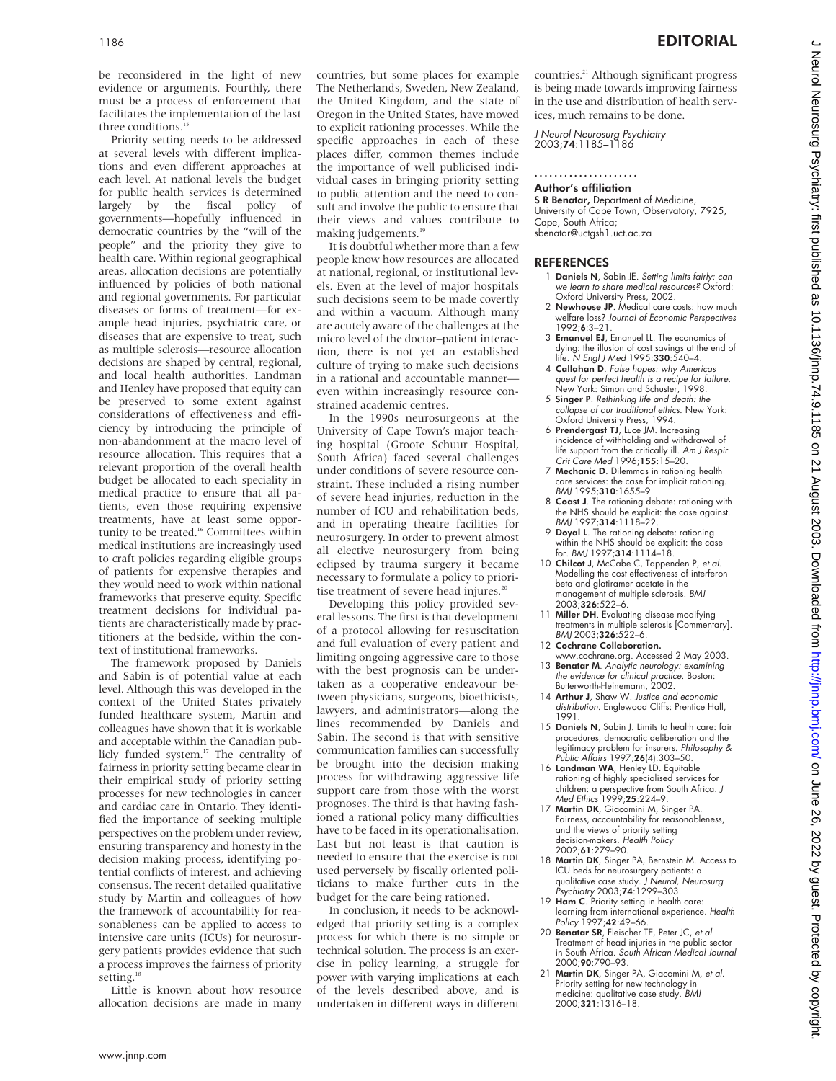be reconsidered in the light of new evidence or arguments. Fourthly, there must be a process of enforcement that facilitates the implementation of the last three conditions.

Priority setting needs to be addressed at several levels with different implications and even different approaches at each level. At national levels the budget for public health services is determined largely by the fiscal policy of governments—hopefully influenced in democratic countries by the "will of the people" and the priority they give to health care. Within regional geographical areas, allocation decisions are potentially influenced by policies of both national and regional governments. For particular diseases or forms of treatment—for example head injuries, psychiatric care, or diseases that are expensive to treat, such as multiple sclerosis—resource allocation decisions are shaped by central, regional, and local health authorities. Landman and Henley have proposed that equity can be preserved to some extent against considerations of effectiveness and efficiency by introducing the principle of non-abandonment at the macro level of resource allocation. This requires that a relevant proportion of the overall health budget be allocated to each speciality in medical practice to ensure that all patients, even those requiring expensive treatments, have at least some opportunity to be treated.<sup>16</sup> Committees within medical institutions are increasingly used to craft policies regarding eligible groups of patients for expensive therapies and they would need to work within national frameworks that preserve equity. Specific treatment decisions for individual patients are characteristically made by practitioners at the bedside, within the context of institutional frameworks.

The framework proposed by Daniels and Sabin is of potential value at each level. Although this was developed in the context of the United States privately funded healthcare system, Martin and colleagues have shown that it is workable and acceptable within the Canadian publicly funded system.<sup>17</sup> The centrality of fairness in priority setting became clear in their empirical study of priority setting processes for new technologies in cancer and cardiac care in Ontario. They identified the importance of seeking multiple perspectives on the problem under review, ensuring transparency and honesty in the decision making process, identifying potential conflicts of interest, and achieving consensus. The recent detailed qualitative study by Martin and colleagues of how the framework of accountability for reasonableness can be applied to access to intensive care units (ICUs) for neurosurgery patients provides evidence that such a process improves the fairness of priority setting.<sup>18</sup>

Little is known about how resource allocation decisions are made in many countries, but some places for example The Netherlands, Sweden, New Zealand, the United Kingdom, and the state of Oregon in the United States, have moved to explicit rationing processes. While the specific approaches in each of these places differ, common themes include the importance of well publicised individual cases in bringing priority setting to public attention and the need to consult and involve the public to ensure that their views and values contribute to making judgements.<sup>19</sup>

It is doubtful whether more than a few people know how resources are allocated at national, regional, or institutional levels. Even at the level of major hospitals such decisions seem to be made covertly and within a vacuum. Although many are acutely aware of the challenges at the micro level of the doctor–patient interaction, there is not yet an established culture of trying to make such decisions in a rational and accountable manner even within increasingly resource constrained academic centres.

In the 1990s neurosurgeons at the University of Cape Town's major teaching hospital (Groote Schuur Hospital, South Africa) faced several challenges under conditions of severe resource constraint. These included a rising number of severe head injuries, reduction in the number of ICU and rehabilitation beds, and in operating theatre facilities for neurosurgery. In order to prevent almost all elective neurosurgery from being eclipsed by trauma surgery it became necessary to formulate a policy to prioritise treatment of severe head injures.<sup>2</sup>

Developing this policy provided several lessons. The first is that development of a protocol allowing for resuscitation and full evaluation of every patient and limiting ongoing aggressive care to those with the best prognosis can be undertaken as a cooperative endeavour between physicians, surgeons, bioethicists, lawyers, and administrators—along the lines recommended by Daniels and Sabin. The second is that with sensitive communication families can successfully be brought into the decision making process for withdrawing aggressive life support care from those with the worst prognoses. The third is that having fashioned a rational policy many difficulties have to be faced in its operationalisation. Last but not least is that caution is needed to ensure that the exercise is not used perversely by fiscally oriented politicians to make further cuts in the budget for the care being rationed.

In conclusion, it needs to be acknowledged that priority setting is a complex process for which there is no simple or technical solution. The process is an exercise in policy learning, a struggle for power with varying implications at each of the levels described above, and is undertaken in different ways in different countries.<sup>21</sup> Although significant progress is being made towards improving fairness in the use and distribution of health services, much remains to be done.

J Neurol Neurosurg Psychiatry 2003;74:1185–1186

#### ..................... Author's affiliation

S R Benatar, Department of Medicine, University of Cape Town, Observatory, 7925, Cape, South Africa; sbenatar@uctgsh1.uct.ac.za

### REFERENCES

- 1 Daniels N, Sabin JE. Setting limits fairly: can we learn to share medical resources? Oxford:
- Oxford University Press, 2002.<br>2 **Newhouse JP**. Medical care costs: how much welfare loss? Journal of Economic Perspectives 1992;6:3–21.
- 3 Emanuel EJ, Emanuel LL. The economics of dying: the illusion of cost savings at the end of<br>life. N *Engl J Med* 1995;**330**:540–4.
- 4 Callahan D. False hopes: why Americas quest for perfect health is <sup>a</sup> recipe for failure. New York: Simon and Schuster, 1998.
- 5 Singer P. Rethinking life and death: the collapse of our traditional ethics. New York:
- Oxford University Press, 1994.<br>6 **Prendergast TJ**, Luce JM. Increasing incidence of withholding and withdrawal of life support from the critically ill. Am J Respir Crit Care Med 1996;155:15-20.
- 7 Mechanic D. Dilemmas in rationing health care services: the case for implicit rationing. BMJ 1995;310:1655-9.
- 8 Coast J. The rationing debate: rationing with the NHS should be explicit: the case against. BMJ 1997;314:1118–22.
- 9 Doyal L. The rationing debate: rationing within the NHS should be explicit: the case for. BMJ 1997;314:1114–18.

J Neurol Neurosurg Psychiatry: first published as 10.11136/jnnp.74.9.1185 on 21 August 2003. Downloaded from http://jnnp.bmj.com/ on June 26, 2022 by guest. Protected by copyright ment 26, 2022 by guest Protected by copyright. Http://jnnp.bent 2003: Downloaded from Neurol Neurol Neurol Neurol Neurol Neurol Neurol Neurol Neurol Neurol 26, 2022 by guest as 10.1197 on 21 August 2020 as 2022 by guest Pr

- 10 Chilcot J, McCabe C, Tappenden P, et al. Modelling the cost effectiveness of interferon beta and glatiramer acetate in the management of multiple sclerosis. BMJ 2003;326:522–6.
- 11 Miller DH. Evaluating disease modifying treatments in multiple sclerosis [Commentary]. BMJ 2003;326:522-6.
- 12 Cochrane Collaboration. www.cochrane.org. Accessed 2 May 2003.
- 13 **Benatar M**. Analytic neurology: examining the evidence for clinical practice. Boston: Butterworth-Heinemann, 2002.
- 14 Arthur J, Shaw W. Justice and economic distribution. Englewood Cliffs: Prentice Hall, 1991.
- 15 Daniels N, Sabin J. Limits to health care: fair procedures, democratic deliberation and the legitimacy problem for insurers. Philosophy & Public Affairs 1997;26(4):303–50.
- 16 Landman WA, Henley LD. Equitable rationing of highly specialised services for children: a perspective from South Africa. J Med Ethics 1999;25:224-9.
- 17 Martin DK, Giacomini M, Singer PA. Fairness, accountability for reasonableness, and the views of priority setting<br>decision-makers. *Health Policy* 2002;61:279–90.
- 18 Martin DK, Singer PA, Bernstein M. Access to ICU beds for neurosurgery patients: a qualitative case study. *J Neurol, Neurosurg*<br>Psychiatry 2003;**74**:1299–303.
- 19 Ham C. Priority setting in health care: learning from international experience. Health Policy 1997;42:49-66.
- 20 Benatar SR, Fleischer TE, Peter JC, et al. Treatment of head injuries in the public sector in South Africa. South African Medical Journal 2000;90:790–93.
- 21 Martin DK, Singer PA, Giacomini M, et al. Priority setting for new technology in medicine: qualitative case study. BMJ 2000;321:1316–18.